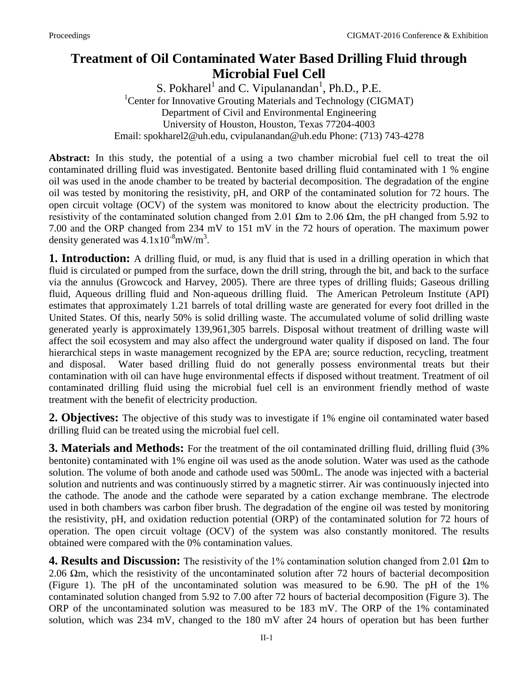## **Treatment of Oil Contaminated Water Based Drilling Fluid through Microbial Fuel Cell**

S. Pokharel<sup>1</sup> and C. Vipulanandan<sup>1</sup>, Ph.D., P.E. <sup>1</sup>Center for Innovative Grouting Materials and Technology (CIGMAT) Department of Civil and Environmental Engineering University of Houston, Houston, Texas 77204-4003 Email: spokharel2@uh.edu, cvipulanandan@uh.edu Phone: (713) 743-4278

**Abstract:** In this study, the potential of a using a two chamber microbial fuel cell to treat the oil contaminated drilling fluid was investigated. Bentonite based drilling fluid contaminated with 1 % engine oil was used in the anode chamber to be treated by bacterial decomposition. The degradation of the engine oil was tested by monitoring the resistivity, pH, and ORP of the contaminated solution for 72 hours. The open circuit voltage (OCV) of the system was monitored to know about the electricity production. The resistivity of the contaminated solution changed from 2.01  $\Omega$ m to 2.06  $\Omega$ m, the pH changed from 5.92 to 7.00 and the ORP changed from 234 mV to 151 mV in the 72 hours of operation. The maximum power density generated was  $4.1 \times 10^{-8}$ mW/m<sup>3</sup>.

**1. Introduction:** A drilling fluid, or mud, is any fluid that is used in a drilling operation in which that fluid is circulated or pumped from the surface, down the drill string, through the bit, and back to the surface via the annulus (Growcock and Harvey, 2005). There are three types of drilling fluids; Gaseous drilling fluid, Aqueous drilling fluid and Non-aqueous drilling fluid. The American Petroleum Institute (API) estimates that approximately 1.21 barrels of total drilling waste are generated for every foot drilled in the United States. Of this, nearly 50% is solid drilling waste. The accumulated volume of solid drilling waste generated yearly is approximately 139,961,305 barrels. Disposal without treatment of drilling waste will affect the soil ecosystem and may also affect the underground water quality if disposed on land. The four hierarchical steps in waste management recognized by the EPA are; source reduction, recycling, treatment and disposal. Water based drilling fluid do not generally possess environmental treats but their contamination with oil can have huge environmental effects if disposed without treatment. Treatment of oil contaminated drilling fluid using the microbial fuel cell is an environment friendly method of waste treatment with the benefit of electricity production.

**2. Objectives:** The objective of this study was to investigate if 1% engine oil contaminated water based drilling fluid can be treated using the microbial fuel cell.

**3. Materials and Methods:** For the treatment of the oil contaminated drilling fluid, drilling fluid (3%) bentonite) contaminated with 1% engine oil was used as the anode solution. Water was used as the cathode solution. The volume of both anode and cathode used was 500mL. The anode was injected with a bacterial solution and nutrients and was continuously stirred by a magnetic stirrer. Air was continuously injected into the cathode. The anode and the cathode were separated by a cation exchange membrane. The electrode used in both chambers was carbon fiber brush. The degradation of the engine oil was tested by monitoring the resistivity, pH, and oxidation reduction potential (ORP) of the contaminated solution for 72 hours of operation. The open circuit voltage (OCV) of the system was also constantly monitored. The results obtained were compared with the 0% contamination values.

**4. Results and Discussion:** The resistivity of the 1% contamination solution changed from 2.01 Ωm to 2.06  $\Omega$ m, which the resistivity of the uncontaminated solution after 72 hours of bacterial decomposition (Figure 1). The pH of the uncontaminated solution was measured to be 6.90. The pH of the 1% contaminated solution changed from 5.92 to 7.00 after 72 hours of bacterial decomposition (Figure 3). The ORP of the uncontaminated solution was measured to be 183 mV. The ORP of the 1% contaminated solution, which was 234 mV, changed to the 180 mV after 24 hours of operation but has been further